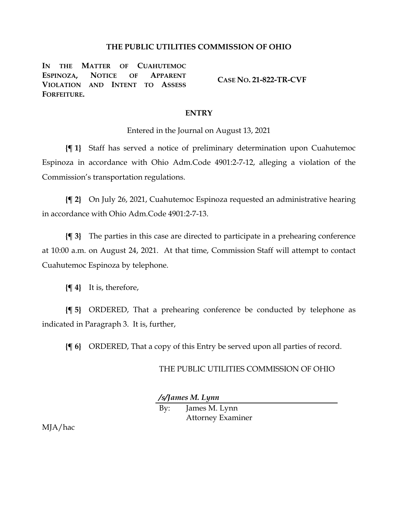## **THE PUBLIC UTILITIES COMMISSION OF OHIO**

**IN THE MATTER OF CUAHUTEMOC ESPINOZA, NOTICE OF APPARENT VIOLATION AND INTENT TO ASSESS FORFEITURE.**

**CASE NO. 21-822-TR-CVF**

## **ENTRY**

Entered in the Journal on August 13, 2021

**{¶ 1}** Staff has served a notice of preliminary determination upon Cuahutemoc Espinoza in accordance with Ohio Adm.Code 4901:2-7-12, alleging a violation of the Commission's transportation regulations.

**{¶ 2}** On July 26, 2021, Cuahutemoc Espinoza requested an administrative hearing in accordance with Ohio Adm.Code 4901:2-7-13.

**{¶ 3}** The parties in this case are directed to participate in a prehearing conference at 10:00 a.m. on August 24, 2021. At that time, Commission Staff will attempt to contact Cuahutemoc Espinoza by telephone.

**{¶ 4}** It is, therefore,

**{¶ 5}** ORDERED, That a prehearing conference be conducted by telephone as indicated in Paragraph 3. It is, further,

**{¶ 6}** ORDERED, That a copy of this Entry be served upon all parties of record.

## THE PUBLIC UTILITIES COMMISSION OF OHIO

*/s/James M. Lynn*

By: James M. Lynn Attorney Examiner

MJA/hac